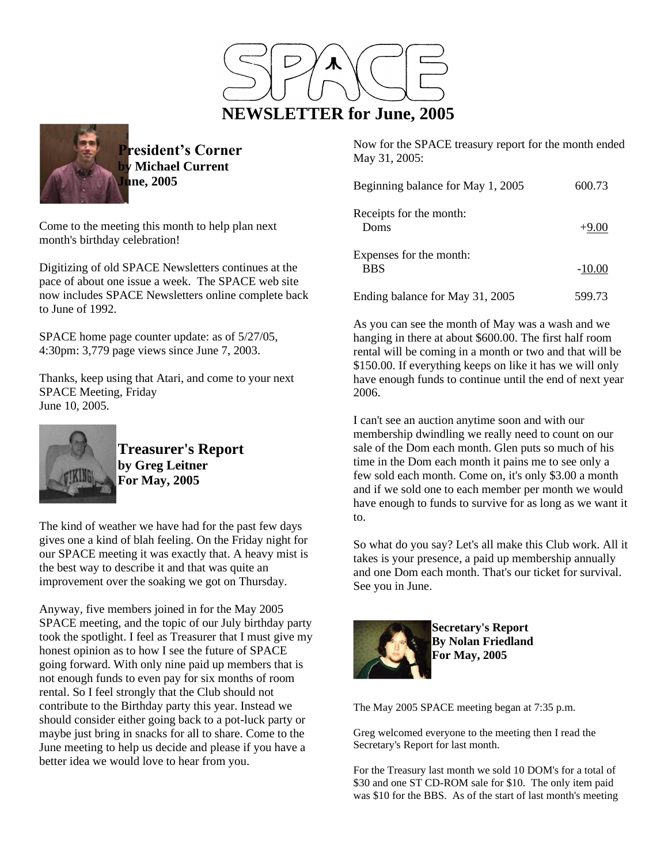



**President's Corner by Michael Current June, 2005**

Come to the meeting this month to help plan next month's birthday celebration!

Digitizing of old SPACE Newsletters continues at the pace of about one issue a week. The SPACE web site now includes SPACE Newsletters online complete back to June of 1992.

SPACE home page counter update: as of 5/27/05, 4:30pm: 3,779 page views since June 7, 2003.

Thanks, keep using that Atari, and come to your next SPACE Meeting, Friday June 10, 2005.



**Treasurer's Report by Greg Leitner For May, 2005**

The kind of weather we have had for the past few days gives one a kind of blah feeling. On the Friday night for our SPACE meeting it was exactly that. A heavy mist is the best way to describe it and that was quite an improvement over the soaking we got on Thursday.

Anyway, five members joined in for the May 2005 SPACE meeting, and the topic of our July birthday party took the spotlight. I feel as Treasurer that I must give my honest opinion as to how I see the future of SPACE going forward. With only nine paid up members that is not enough funds to even pay for six months of room rental. So I feel strongly that the Club should not contribute to the Birthday party this year. Instead we should consider either going back to a pot-luck party or maybe just bring in snacks for all to share. Come to the June meeting to help us decide and please if you have a better idea we would love to hear from you.

Now for the SPACE treasury report for the month ended May 31, 2005:

| Beginning balance for May 1, 2005     | 600.73   |
|---------------------------------------|----------|
| Receipts for the month:<br>Doms       | $+9.00$  |
| Expenses for the month:<br><b>BBS</b> | $-10.00$ |
| Ending balance for May 31, 2005       | 599.73   |

As you can see the month of May was a wash and we hanging in there at about \$600.00. The first half room rental will be coming in a month or two and that will be \$150.00. If everything keeps on like it has we will only have enough funds to continue until the end of next year 2006.

I can't see an auction anytime soon and with our membership dwindling we really need to count on our sale of the Dom each month. Glen puts so much of his time in the Dom each month it pains me to see only a few sold each month. Come on, it's only \$3.00 a month and if we sold one to each member per month we would have enough to funds to survive for as long as we want it to.

So what do you say? Let's all make this Club work. All it takes is your presence, a paid up membership annually and one Dom each month. That's our ticket for survival. See you in June.



**Secretary's Report By Nolan Friedland For May, 2005**

The May 2005 SPACE meeting began at 7:35 p.m.

Greg welcomed everyone to the meeting then I read the Secretary's Report for last month.

For the Treasury last month we sold 10 DOM's for a total of \$30 and one ST CD-ROM sale for \$10. The only item paid was \$10 for the BBS. As of the start of last month's meeting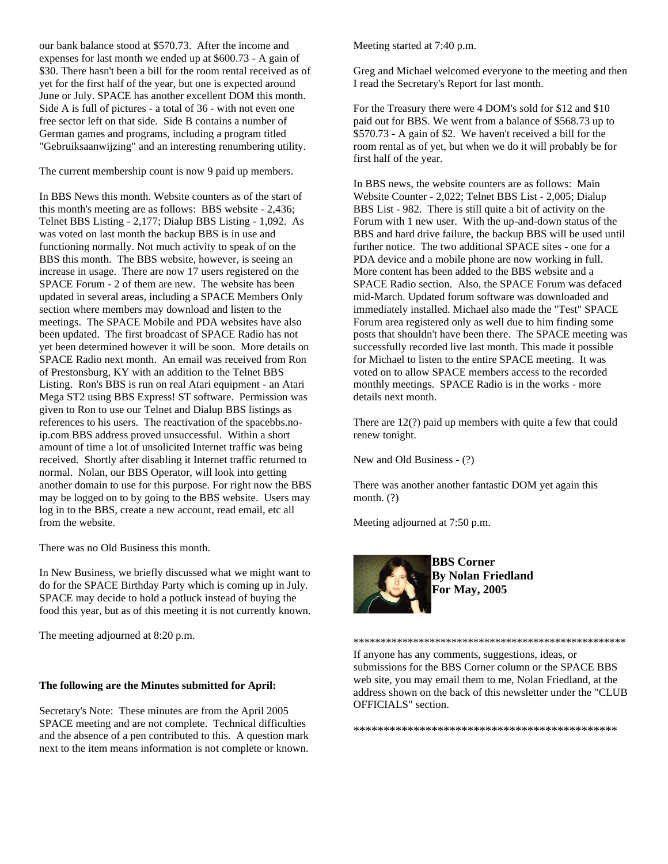our bank balance stood at \$570.73. After the income and expenses for last month we ended up at \$600.73 - A gain of \$30. There hasn't been a bill for the room rental received as of yet for the first half of the year, but one is expected around June or July. SPACE has another excellent DOM this month. Side A is full of pictures - a total of 36 - with not even one free sector left on that side. Side B contains a number of German games and programs, including a program titled "Gebruiksaanwijzing" and an interesting renumbering utility.

The current membership count is now 9 paid up members.

In BBS News this month. Website counters as of the start of this month's meeting are as follows: BBS website - 2,436; Telnet BBS Listing - 2,177; Dialup BBS Listing - 1,092. As was voted on last month the backup BBS is in use and functioning normally. Not much activity to speak of on the BBS this month. The BBS website, however, is seeing an increase in usage. There are now 17 users registered on the SPACE Forum - 2 of them are new. The website has been updated in several areas, including a SPACE Members Only section where members may download and listen to the meetings. The SPACE Mobile and PDA websites have also been updated. The first broadcast of SPACE Radio has not yet been determined however it will be soon. More details on SPACE Radio next month. An email was received from Ron of Prestonsburg, KY with an addition to the Telnet BBS Listing. Ron's BBS is run on real Atari equipment - an Atari Mega ST2 using BBS Express! ST software. Permission was given to Ron to use our Telnet and Dialup BBS listings as references to his users. The reactivation of the spacebbs.noip.com BBS address proved unsuccessful. Within a short amount of time a lot of unsolicited Internet traffic was being received. Shortly after disabling it Internet traffic returned to normal. Nolan, our BBS Operator, will look into getting another domain to use for this purpose. For right now the BBS may be logged on to by going to the BBS website. Users may log in to the BBS, create a new account, read email, etc all from the website.

There was no Old Business this month.

In New Business, we briefly discussed what we might want to do for the SPACE Birthday Party which is coming up in July. SPACE may decide to hold a potluck instead of buying the food this year, but as of this meeting it is not currently known.

The meeting adjourned at 8:20 p.m.

## **The following are the Minutes submitted for April:**

Secretary's Note: These minutes are from the April 2005 SPACE meeting and are not complete. Technical difficulties and the absence of a pen contributed to this. A question mark next to the item means information is not complete or known. Meeting started at 7:40 p.m.

Greg and Michael welcomed everyone to the meeting and then I read the Secretary's Report for last month.

For the Treasury there were 4 DOM's sold for \$12 and \$10 paid out for BBS. We went from a balance of \$568.73 up to \$570.73 - A gain of \$2. We haven't received a bill for the room rental as of yet, but when we do it will probably be for first half of the year.

In BBS news, the website counters are as follows: Main Website Counter - 2,022; Telnet BBS List - 2,005; Dialup BBS List - 982. There is still quite a bit of activity on the Forum with 1 new user. With the up-and-down status of the BBS and hard drive failure, the backup BBS will be used until further notice. The two additional SPACE sites - one for a PDA device and a mobile phone are now working in full. More content has been added to the BBS website and a SPACE Radio section. Also, the SPACE Forum was defaced mid-March. Updated forum software was downloaded and immediately installed. Michael also made the "Test" SPACE Forum area registered only as well due to him finding some posts that shouldn't have been there. The SPACE meeting was successfully recorded live last month. This made it possible for Michael to listen to the entire SPACE meeting. It was voted on to allow SPACE members access to the recorded monthly meetings. SPACE Radio is in the works - more details next month.

There are 12(?) paid up members with quite a few that could renew tonight.

New and Old Business - (?)

There was another another fantastic DOM yet again this month. (?)

Meeting adjourned at 7:50 p.m.



**BBS Corner By Nolan Friedland For May, 2005**

If anyone has any comments, suggestions, ideas, or submissions for the BBS Corner column or the SPACE BBS web site, you may email them to me, Nolan Friedland, at the address shown on the back of this newsletter under the "CLUB OFFICIALS" section.

\*\*\*\*\*\*\*\*\*\*\*\*\*\*\*\*\*\*\*\*\*\*\*\*\*\*\*\*\*\*\*\*\*\*\*\*\*\*\*\*\*\*\*\*

\*\*\*\*\*\*\*\*\*\*\*\*\*\*\*\*\*\*\*\*\*\*\*\*\*\*\*\*\*\*\*\*\*\*\*\*\*\*\*\*\*\*\*\*\*\*\*\*\*\*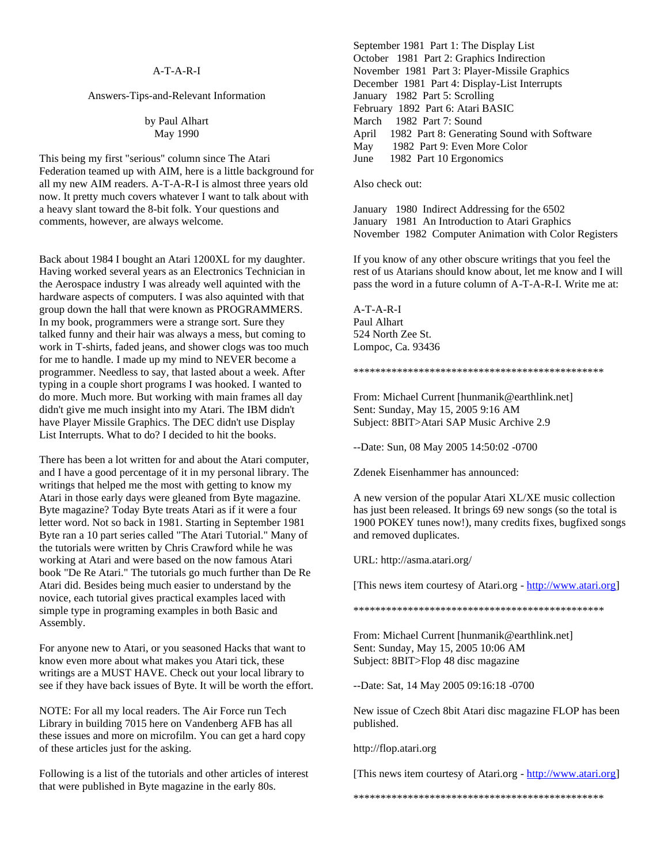## A-T-A-R-I

## Answers-Tips-and-Relevant Information

by Paul Alhart May 1990

This being my first "serious" column since The Atari Federation teamed up with AIM, here is a little background for all my new AIM readers. A-T-A-R-I is almost three years old now. It pretty much covers whatever I want to talk about with a heavy slant toward the 8-bit folk. Your questions and comments, however, are always welcome.

Back about 1984 I bought an Atari 1200XL for my daughter. Having worked several years as an Electronics Technician in the Aerospace industry I was already well aquinted with the hardware aspects of computers. I was also aquinted with that group down the hall that were known as PROGRAMMERS. In my book, programmers were a strange sort. Sure they talked funny and their hair was always a mess, but coming to work in T-shirts, faded jeans, and shower clogs was too much for me to handle. I made up my mind to NEVER become a programmer. Needless to say, that lasted about a week. After typing in a couple short programs I was hooked. I wanted to do more. Much more. But working with main frames all day didn't give me much insight into my Atari. The IBM didn't have Player Missile Graphics. The DEC didn't use Display List Interrupts. What to do? I decided to hit the books.

There has been a lot written for and about the Atari computer, and I have a good percentage of it in my personal library. The writings that helped me the most with getting to know my Atari in those early days were gleaned from Byte magazine. Byte magazine? Today Byte treats Atari as if it were a four letter word. Not so back in 1981. Starting in September 1981 Byte ran a 10 part series called "The Atari Tutorial." Many of the tutorials were written by Chris Crawford while he was working at Atari and were based on the now famous Atari book "De Re Atari." The tutorials go much further than De Re Atari did. Besides being much easier to understand by the novice, each tutorial gives practical examples laced with simple type in programing examples in both Basic and Assembly.

For anyone new to Atari, or you seasoned Hacks that want to know even more about what makes you Atari tick, these writings are a MUST HAVE. Check out your local library to see if they have back issues of Byte. It will be worth the effort.

NOTE: For all my local readers. The Air Force run Tech Library in building 7015 here on Vandenberg AFB has all these issues and more on microfilm. You can get a hard copy of these articles just for the asking.

Following is a list of the tutorials and other articles of interest that were published in Byte magazine in the early 80s.

September 1981 Part 1: The Display List October 1981 Part 2: Graphics Indirection November 1981 Part 3: Player-Missile Graphics December 1981 Part 4: Display-List Interrupts January 1982 Part 5: Scrolling February 1892 Part 6: Atari BASIC March 1982 Part 7: Sound April 1982 Part 8: Generating Sound with Software May 1982 Part 9: Even More Color June 1982 Part 10 Ergonomics

Also check out:

January 1980 Indirect Addressing for the 6502 January 1981 An Introduction to Atari Graphics November 1982 Computer Animation with Color Registers

If you know of any other obscure writings that you feel the rest of us Atarians should know about, let me know and I will pass the word in a future column of A-T-A-R-I. Write me at:

A-T-A-R-I Paul Alhart 524 North Zee St. Lompoc, Ca. 93436

\*\*\*\*\*\*\*\*\*\*\*\*\*\*\*\*\*\*\*\*\*\*\*\*\*\*\*\*\*\*\*\*\*\*\*\*\*\*\*\*\*\*\*\*\*\*

From: Michael Current [hunmanik@earthlink.net] Sent: Sunday, May 15, 2005 9:16 AM Subject: 8BIT>Atari SAP Music Archive 2.9

--Date: Sun, 08 May 2005 14:50:02 -0700

Zdenek Eisenhammer has announced:

A new version of the popular Atari XL/XE music collection has just been released. It brings 69 new songs (so the total is 1900 POKEY tunes now!), many credits fixes, bugfixed songs and removed duplicates.

URL: http://asma.atari.org/

[This news item courtesy of Atari.org - [http://www.atari.org\]](http://www.atari.org/)

\*\*\*\*\*\*\*\*\*\*\*\*\*\*\*\*\*\*\*\*\*\*\*\*\*\*\*\*\*\*\*\*\*\*\*\*\*\*\*\*\*\*\*\*\*\*

From: Michael Current [hunmanik@earthlink.net] Sent: Sunday, May 15, 2005 10:06 AM Subject: 8BIT>Flop 48 disc magazine

--Date: Sat, 14 May 2005 09:16:18 -0700

New issue of Czech 8bit Atari disc magazine FLOP has been published.

http://flop.atari.org

[This news item courtesy of Atari.org - [http://www.atari.org\]](http://www.atari.org/)

\*\*\*\*\*\*\*\*\*\*\*\*\*\*\*\*\*\*\*\*\*\*\*\*\*\*\*\*\*\*\*\*\*\*\*\*\*\*\*\*\*\*\*\*\*\*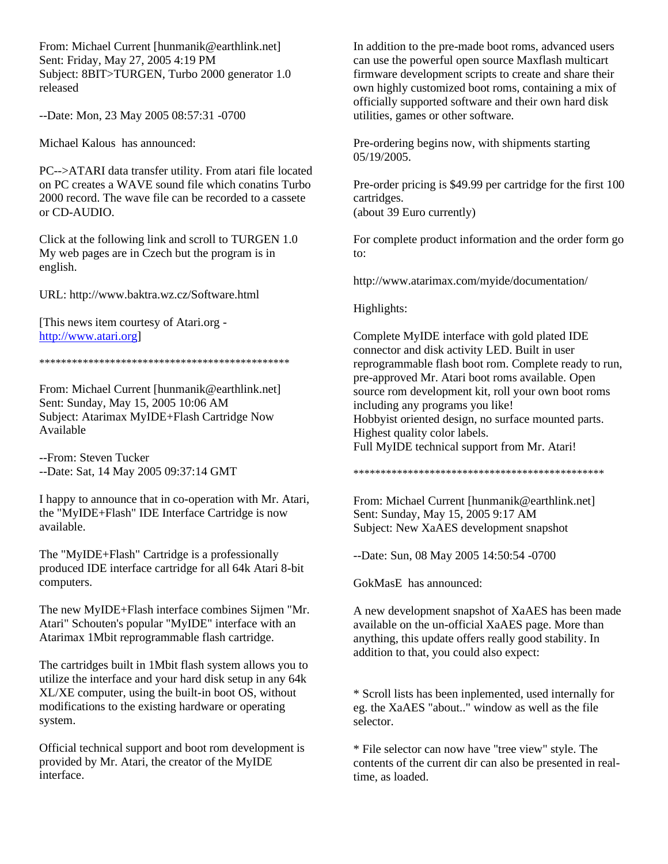From: Michael Current [hunmanik@earthlink.net] Sent: Friday, May 27, 2005 4:19 PM Subject: 8BIT>TURGEN, Turbo 2000 generator 1.0 released

--Date: Mon, 23 May 2005 08:57:31 -0700

Michael Kalous has announced:

PC-->ATARI data transfer utility. From atari file located on PC creates a WAVE sound file which conatins Turbo 2000 record. The wave file can be recorded to a cassete or CD-AUDIO.

Click at the following link and scroll to TURGEN 1.0 My web pages are in Czech but the program is in english.

URL: http://www.baktra.wz.cz/Software.html

[This news item courtesy of Atari.org [http://www.atari.org\]](http://www.atari.org/)

## \*\*\*\*\*\*\*\*\*\*\*\*\*\*\*\*\*\*\*\*\*\*\*\*\*\*\*\*\*\*\*\*\*\*\*\*\*\*\*\*\*\*\*\*\*\*

From: Michael Current [hunmanik@earthlink.net] Sent: Sunday, May 15, 2005 10:06 AM Subject: Atarimax MyIDE+Flash Cartridge Now Available

--From: Steven Tucker --Date: Sat, 14 May 2005 09:37:14 GMT

I happy to announce that in co-operation with Mr. Atari, the "MyIDE+Flash" IDE Interface Cartridge is now available.

The "MyIDE+Flash" Cartridge is a professionally produced IDE interface cartridge for all 64k Atari 8-bit computers.

The new MyIDE+Flash interface combines Sijmen "Mr. Atari" Schouten's popular "MyIDE" interface with an Atarimax 1Mbit reprogrammable flash cartridge.

The cartridges built in 1Mbit flash system allows you to utilize the interface and your hard disk setup in any 64k XL/XE computer, using the built-in boot OS, without modifications to the existing hardware or operating system.

Official technical support and boot rom development is provided by Mr. Atari, the creator of the MyIDE interface.

In addition to the pre-made boot roms, advanced users can use the powerful open source Maxflash multicart firmware development scripts to create and share their own highly customized boot roms, containing a mix of officially supported software and their own hard disk utilities, games or other software.

Pre-ordering begins now, with shipments starting 05/19/2005.

Pre-order pricing is \$49.99 per cartridge for the first 100 cartridges. (about 39 Euro currently)

For complete product information and the order form go to:

http://www.atarimax.com/myide/documentation/

Highlights:

Complete MyIDE interface with gold plated IDE connector and disk activity LED. Built in user reprogrammable flash boot rom. Complete ready to run, pre-approved Mr. Atari boot roms available. Open source rom development kit, roll your own boot roms including any programs you like! Hobbyist oriented design, no surface mounted parts. Highest quality color labels. Full MyIDE technical support from Mr. Atari!

\*\*\*\*\*\*\*\*\*\*\*\*\*\*\*\*\*\*\*\*\*\*\*\*\*\*\*\*\*\*\*\*\*\*\*\*\*\*\*\*\*\*\*\*\*\*

From: Michael Current [hunmanik@earthlink.net] Sent: Sunday, May 15, 2005 9:17 AM Subject: New XaAES development snapshot

--Date: Sun, 08 May 2005 14:50:54 -0700

GokMasE has announced:

A new development snapshot of XaAES has been made available on the un-official XaAES page. More than anything, this update offers really good stability. In addition to that, you could also expect:

\* Scroll lists has been inplemented, used internally for eg. the XaAES "about.." window as well as the file selector.

\* File selector can now have "tree view" style. The contents of the current dir can also be presented in realtime, as loaded.